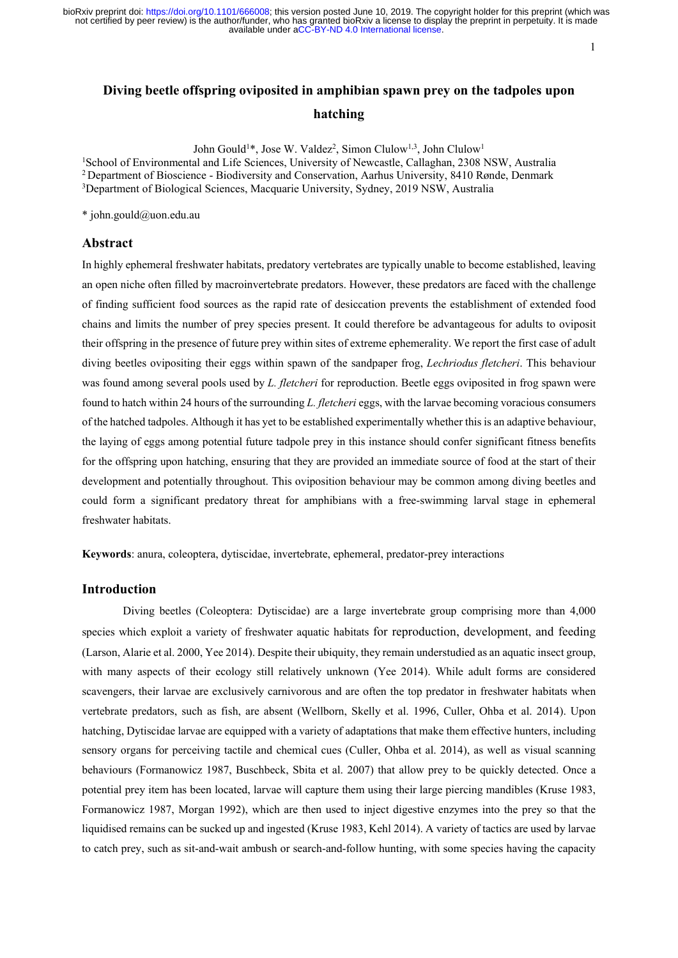1

# **Diving beetle offspring oviposited in amphibian spawn prey on the tadpoles upon hatching**

John Gould<sup>1\*</sup>, Jose W. Valdez<sup>2</sup>, Simon Clulow<sup>1,3</sup>, John Clulow<sup>1</sup>

<sup>1</sup>School of Environmental and Life Sciences, University of Newcastle, Callaghan, 2308 NSW, Australia 2 Department of Bioscience - Biodiversity and Conservation, Aarhus University, 8410 Rønde, Denmark <sup>3</sup>Department of Biological Sciences, Macquarie University, Sydney, 2019 NSW, Australia

\* john.gould@uon.edu.au

## **Abstract**

In highly ephemeral freshwater habitats, predatory vertebrates are typically unable to become established, leaving an open niche often filled by macroinvertebrate predators. However, these predators are faced with the challenge of finding sufficient food sources as the rapid rate of desiccation prevents the establishment of extended food chains and limits the number of prey species present. It could therefore be advantageous for adults to oviposit their offspring in the presence of future prey within sites of extreme ephemerality. We report the first case of adult diving beetles ovipositing their eggs within spawn of the sandpaper frog, *Lechriodus fletcheri*. This behaviour was found among several pools used by *L. fletcheri* for reproduction. Beetle eggs oviposited in frog spawn were found to hatch within 24 hours of the surrounding *L. fletcheri* eggs, with the larvae becoming voracious consumers of the hatched tadpoles. Although it has yet to be established experimentally whether this is an adaptive behaviour, the laying of eggs among potential future tadpole prey in this instance should confer significant fitness benefits for the offspring upon hatching, ensuring that they are provided an immediate source of food at the start of their development and potentially throughout. This oviposition behaviour may be common among diving beetles and could form a significant predatory threat for amphibians with a free-swimming larval stage in ephemeral freshwater habitats.

**Keywords**: anura, coleoptera, dytiscidae, invertebrate, ephemeral, predator-prey interactions

#### **Introduction**

Diving beetles (Coleoptera: Dytiscidae) are a large invertebrate group comprising more than 4,000 species which exploit a variety of freshwater aquatic habitats for reproduction, development, and feeding (Larson, Alarie et al. 2000, Yee 2014). Despite their ubiquity, they remain understudied as an aquatic insect group, with many aspects of their ecology still relatively unknown (Yee 2014). While adult forms are considered scavengers, their larvae are exclusively carnivorous and are often the top predator in freshwater habitats when vertebrate predators, such as fish, are absent (Wellborn, Skelly et al. 1996, Culler, Ohba et al. 2014). Upon hatching, Dytiscidae larvae are equipped with a variety of adaptations that make them effective hunters, including sensory organs for perceiving tactile and chemical cues (Culler, Ohba et al. 2014), as well as visual scanning behaviours (Formanowicz 1987, Buschbeck, Sbita et al. 2007) that allow prey to be quickly detected. Once a potential prey item has been located, larvae will capture them using their large piercing mandibles (Kruse 1983, Formanowicz 1987, Morgan 1992), which are then used to inject digestive enzymes into the prey so that the liquidised remains can be sucked up and ingested (Kruse 1983, Kehl 2014). A variety of tactics are used by larvae to catch prey, such as sit-and-wait ambush or search-and-follow hunting, with some species having the capacity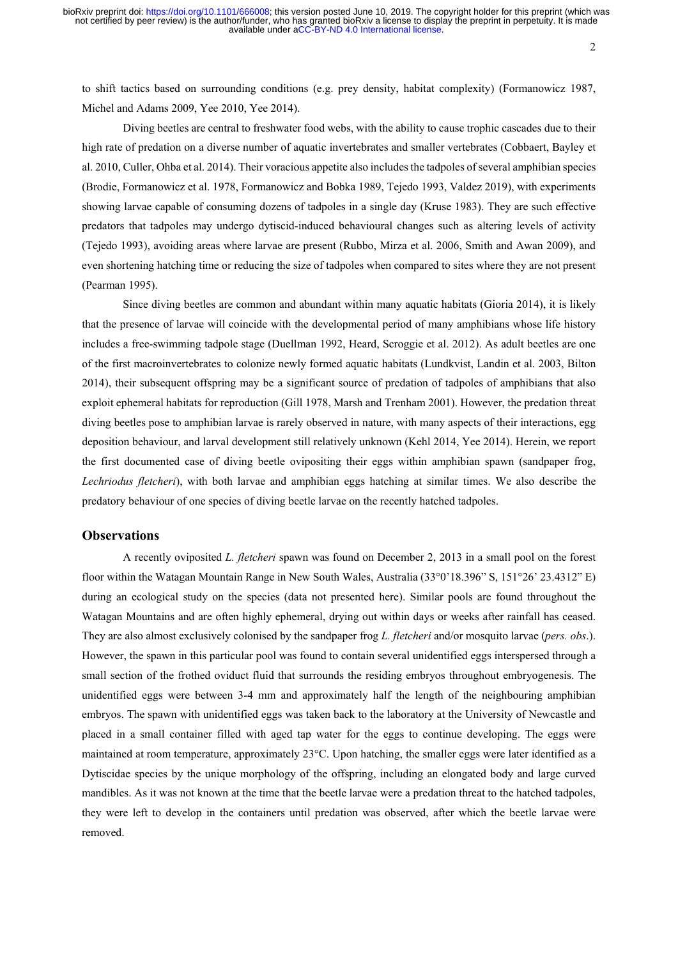2

to shift tactics based on surrounding conditions (e.g. prey density, habitat complexity) (Formanowicz 1987, Michel and Adams 2009, Yee 2010, Yee 2014).

Diving beetles are central to freshwater food webs, with the ability to cause trophic cascades due to their high rate of predation on a diverse number of aquatic invertebrates and smaller vertebrates (Cobbaert, Bayley et al. 2010, Culler, Ohba et al. 2014). Their voracious appetite also includes the tadpoles of several amphibian species (Brodie, Formanowicz et al. 1978, Formanowicz and Bobka 1989, Tejedo 1993, Valdez 2019), with experiments showing larvae capable of consuming dozens of tadpoles in a single day (Kruse 1983). They are such effective predators that tadpoles may undergo dytiscid-induced behavioural changes such as altering levels of activity (Tejedo 1993), avoiding areas where larvae are present (Rubbo, Mirza et al. 2006, Smith and Awan 2009), and even shortening hatching time or reducing the size of tadpoles when compared to sites where they are not present (Pearman 1995).

Since diving beetles are common and abundant within many aquatic habitats (Gioria 2014), it is likely that the presence of larvae will coincide with the developmental period of many amphibians whose life history includes a free-swimming tadpole stage (Duellman 1992, Heard, Scroggie et al. 2012). As adult beetles are one of the first macroinvertebrates to colonize newly formed aquatic habitats (Lundkvist, Landin et al. 2003, Bilton 2014), their subsequent offspring may be a significant source of predation of tadpoles of amphibians that also exploit ephemeral habitats for reproduction (Gill 1978, Marsh and Trenham 2001). However, the predation threat diving beetles pose to amphibian larvae is rarely observed in nature, with many aspects of their interactions, egg deposition behaviour, and larval development still relatively unknown (Kehl 2014, Yee 2014). Herein, we report the first documented case of diving beetle ovipositing their eggs within amphibian spawn (sandpaper frog, *Lechriodus fletcheri*), with both larvae and amphibian eggs hatching at similar times. We also describe the predatory behaviour of one species of diving beetle larvae on the recently hatched tadpoles.

#### **Observations**

A recently oviposited *L. fletcheri* spawn was found on December 2, 2013 in a small pool on the forest floor within the Watagan Mountain Range in New South Wales, Australia (33°0'18.396" S, 151°26' 23.4312" E) during an ecological study on the species (data not presented here). Similar pools are found throughout the Watagan Mountains and are often highly ephemeral, drying out within days or weeks after rainfall has ceased. They are also almost exclusively colonised by the sandpaper frog *L. fletcheri* and/or mosquito larvae (*pers. obs*.). However, the spawn in this particular pool was found to contain several unidentified eggs interspersed through a small section of the frothed oviduct fluid that surrounds the residing embryos throughout embryogenesis. The unidentified eggs were between 3-4 mm and approximately half the length of the neighbouring amphibian embryos. The spawn with unidentified eggs was taken back to the laboratory at the University of Newcastle and placed in a small container filled with aged tap water for the eggs to continue developing. The eggs were maintained at room temperature, approximately 23°C. Upon hatching, the smaller eggs were later identified as a Dytiscidae species by the unique morphology of the offspring, including an elongated body and large curved mandibles. As it was not known at the time that the beetle larvae were a predation threat to the hatched tadpoles, they were left to develop in the containers until predation was observed, after which the beetle larvae were removed.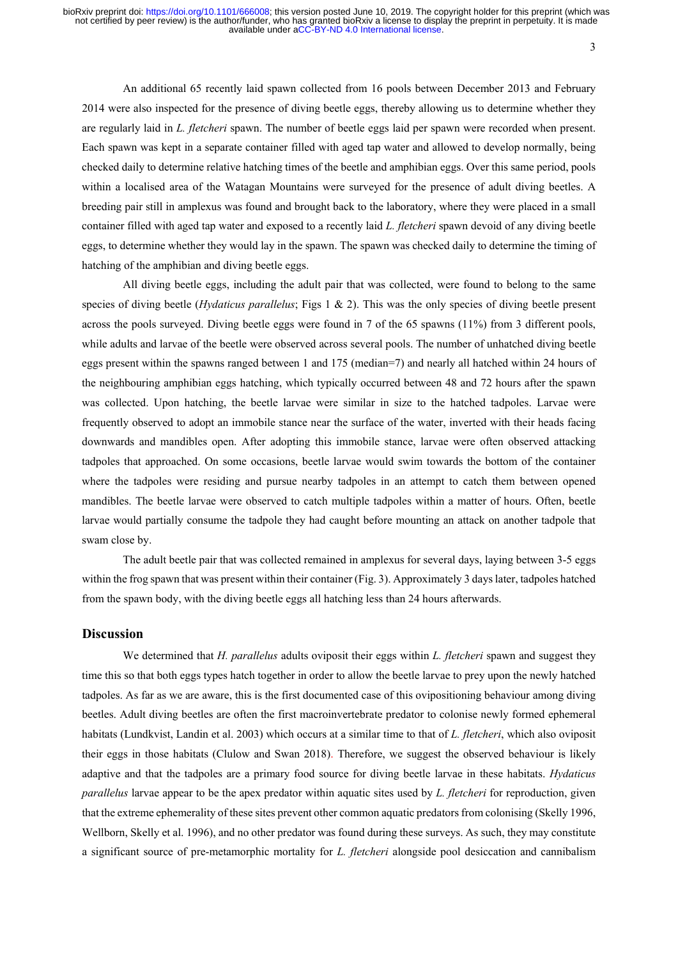3

An additional 65 recently laid spawn collected from 16 pools between December 2013 and February 2014 were also inspected for the presence of diving beetle eggs, thereby allowing us to determine whether they are regularly laid in *L. fletcheri* spawn. The number of beetle eggs laid per spawn were recorded when present. Each spawn was kept in a separate container filled with aged tap water and allowed to develop normally, being checked daily to determine relative hatching times of the beetle and amphibian eggs. Over this same period, pools within a localised area of the Watagan Mountains were surveyed for the presence of adult diving beetles. A breeding pair still in amplexus was found and brought back to the laboratory, where they were placed in a small container filled with aged tap water and exposed to a recently laid *L. fletcheri* spawn devoid of any diving beetle eggs, to determine whether they would lay in the spawn. The spawn was checked daily to determine the timing of hatching of the amphibian and diving beetle eggs.

All diving beetle eggs, including the adult pair that was collected, were found to belong to the same species of diving beetle (*Hydaticus parallelus*; Figs 1 & 2). This was the only species of diving beetle present across the pools surveyed. Diving beetle eggs were found in 7 of the 65 spawns (11%) from 3 different pools, while adults and larvae of the beetle were observed across several pools. The number of unhatched diving beetle eggs present within the spawns ranged between 1 and 175 (median=7) and nearly all hatched within 24 hours of the neighbouring amphibian eggs hatching, which typically occurred between 48 and 72 hours after the spawn was collected. Upon hatching, the beetle larvae were similar in size to the hatched tadpoles. Larvae were frequently observed to adopt an immobile stance near the surface of the water, inverted with their heads facing downwards and mandibles open. After adopting this immobile stance, larvae were often observed attacking tadpoles that approached. On some occasions, beetle larvae would swim towards the bottom of the container where the tadpoles were residing and pursue nearby tadpoles in an attempt to catch them between opened mandibles. The beetle larvae were observed to catch multiple tadpoles within a matter of hours. Often, beetle larvae would partially consume the tadpole they had caught before mounting an attack on another tadpole that swam close by.

The adult beetle pair that was collected remained in amplexus for several days, laying between 3-5 eggs within the frog spawn that was present within their container (Fig. 3). Approximately 3 days later, tadpoles hatched from the spawn body, with the diving beetle eggs all hatching less than 24 hours afterwards.

### **Discussion**

We determined that *H. parallelus* adults oviposit their eggs within *L. fletcheri* spawn and suggest they time this so that both eggs types hatch together in order to allow the beetle larvae to prey upon the newly hatched tadpoles. As far as we are aware, this is the first documented case of this ovipositioning behaviour among diving beetles. Adult diving beetles are often the first macroinvertebrate predator to colonise newly formed ephemeral habitats (Lundkvist, Landin et al. 2003) which occurs at a similar time to that of *L. fletcheri*, which also oviposit their eggs in those habitats (Clulow and Swan 2018). Therefore, we suggest the observed behaviour is likely adaptive and that the tadpoles are a primary food source for diving beetle larvae in these habitats. *Hydaticus parallelus* larvae appear to be the apex predator within aquatic sites used by *L. fletcheri* for reproduction, given that the extreme ephemerality of these sites prevent other common aquatic predators from colonising (Skelly 1996, Wellborn, Skelly et al. 1996), and no other predator was found during these surveys. As such, they may constitute a significant source of pre-metamorphic mortality for *L. fletcheri* alongside pool desiccation and cannibalism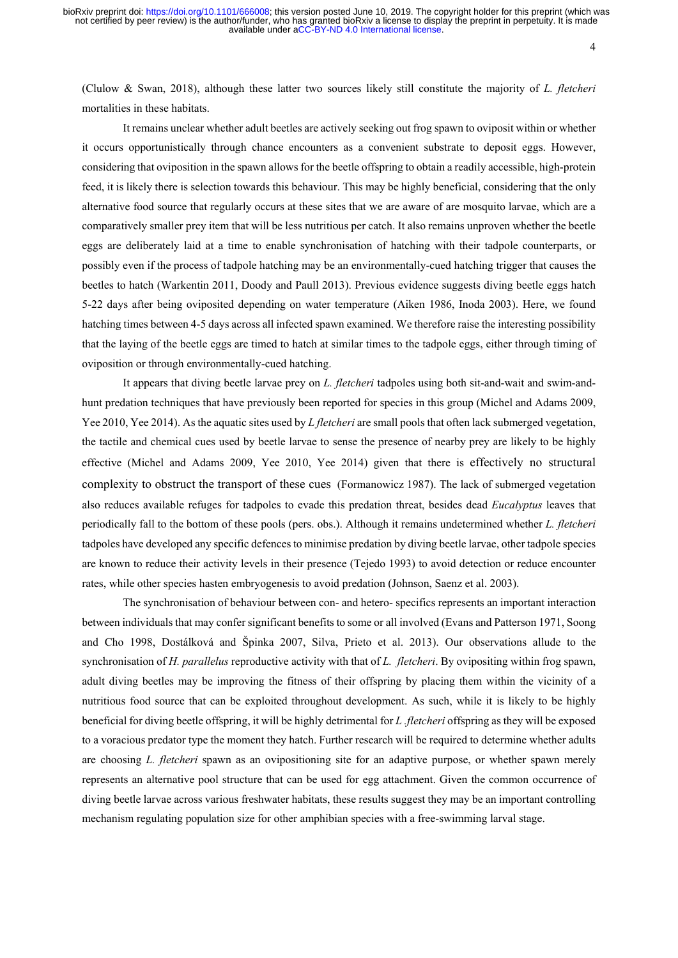4

(Clulow & Swan, 2018), although these latter two sources likely still constitute the majority of *L. fletcheri*  mortalities in these habitats.

It remains unclear whether adult beetles are actively seeking out frog spawn to oviposit within or whether it occurs opportunistically through chance encounters as a convenient substrate to deposit eggs. However, considering that oviposition in the spawn allows for the beetle offspring to obtain a readily accessible, high-protein feed, it is likely there is selection towards this behaviour. This may be highly beneficial, considering that the only alternative food source that regularly occurs at these sites that we are aware of are mosquito larvae, which are a comparatively smaller prey item that will be less nutritious per catch. It also remains unproven whether the beetle eggs are deliberately laid at a time to enable synchronisation of hatching with their tadpole counterparts, or possibly even if the process of tadpole hatching may be an environmentally-cued hatching trigger that causes the beetles to hatch (Warkentin 2011, Doody and Paull 2013). Previous evidence suggests diving beetle eggs hatch 5-22 days after being oviposited depending on water temperature (Aiken 1986, Inoda 2003). Here, we found hatching times between 4-5 days across all infected spawn examined. We therefore raise the interesting possibility that the laying of the beetle eggs are timed to hatch at similar times to the tadpole eggs, either through timing of oviposition or through environmentally-cued hatching.

It appears that diving beetle larvae prey on *L. fletcheri* tadpoles using both sit-and-wait and swim-andhunt predation techniques that have previously been reported for species in this group (Michel and Adams 2009, Yee 2010, Yee 2014). As the aquatic sites used by *L fletcheri* are small pools that often lack submerged vegetation, the tactile and chemical cues used by beetle larvae to sense the presence of nearby prey are likely to be highly effective (Michel and Adams 2009, Yee 2010, Yee 2014) given that there is effectively no structural complexity to obstruct the transport of these cues (Formanowicz 1987). The lack of submerged vegetation also reduces available refuges for tadpoles to evade this predation threat, besides dead *Eucalyptus* leaves that periodically fall to the bottom of these pools (pers. obs.). Although it remains undetermined whether *L. fletcheri* tadpoles have developed any specific defences to minimise predation by diving beetle larvae, other tadpole species are known to reduce their activity levels in their presence (Tejedo 1993) to avoid detection or reduce encounter rates, while other species hasten embryogenesis to avoid predation (Johnson, Saenz et al. 2003).

The synchronisation of behaviour between con- and hetero- specifics represents an important interaction between individuals that may confer significant benefits to some or all involved (Evans and Patterson 1971, Soong and Cho 1998, Dostálková and Špinka 2007, Silva, Prieto et al. 2013). Our observations allude to the synchronisation of *H. parallelus* reproductive activity with that of *L. fletcheri*. By ovipositing within frog spawn, adult diving beetles may be improving the fitness of their offspring by placing them within the vicinity of a nutritious food source that can be exploited throughout development. As such, while it is likely to be highly beneficial for diving beetle offspring, it will be highly detrimental for *L .fletcheri* offspring as they will be exposed to a voracious predator type the moment they hatch. Further research will be required to determine whether adults are choosing *L. fletcheri* spawn as an ovipositioning site for an adaptive purpose, or whether spawn merely represents an alternative pool structure that can be used for egg attachment. Given the common occurrence of diving beetle larvae across various freshwater habitats, these results suggest they may be an important controlling mechanism regulating population size for other amphibian species with a free-swimming larval stage.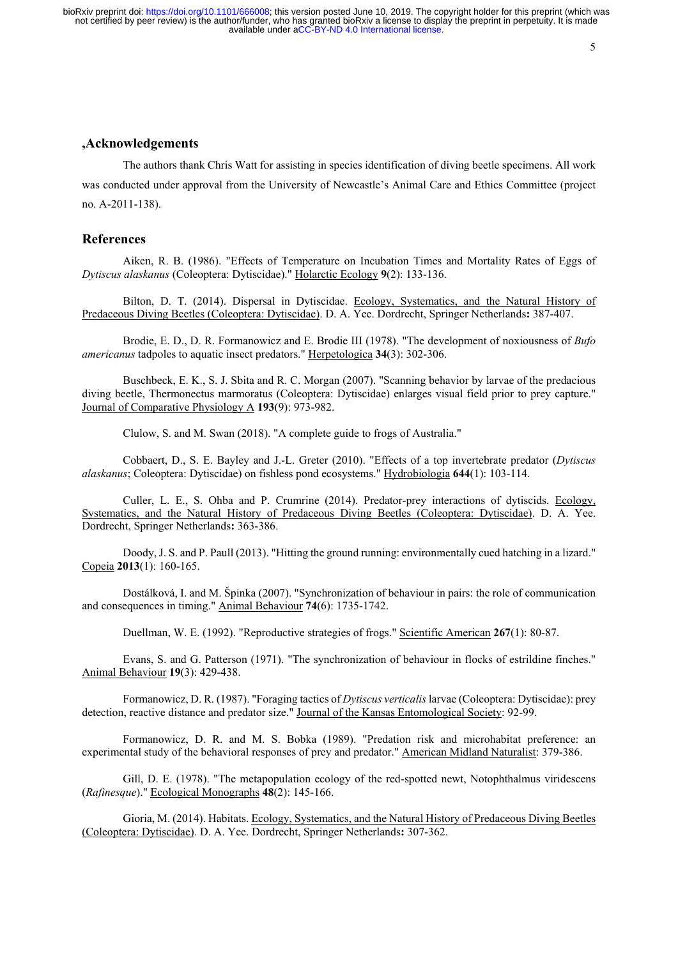5

## **,Acknowledgements**

The authors thank Chris Watt for assisting in species identification of diving beetle specimens. All work was conducted under approval from the University of Newcastle's Animal Care and Ethics Committee (project no. A-2011-138).

#### **References**

Aiken, R. B. (1986). "Effects of Temperature on Incubation Times and Mortality Rates of Eggs of *Dytiscus alaskanus* (Coleoptera: Dytiscidae)." Holarctic Ecology **9**(2): 133-136.

Bilton, D. T. (2014). Dispersal in Dytiscidae. Ecology, Systematics, and the Natural History of Predaceous Diving Beetles (Coleoptera: Dytiscidae). D. A. Yee. Dordrecht, Springer Netherlands**:** 387-407.

Brodie, E. D., D. R. Formanowicz and E. Brodie III (1978). "The development of noxiousness of *Bufo americanus* tadpoles to aquatic insect predators." Herpetologica **34**(3): 302-306.

Buschbeck, E. K., S. J. Sbita and R. C. Morgan (2007). "Scanning behavior by larvae of the predacious diving beetle, Thermonectus marmoratus (Coleoptera: Dytiscidae) enlarges visual field prior to prey capture." Journal of Comparative Physiology A **193**(9): 973-982.

Clulow, S. and M. Swan (2018). "A complete guide to frogs of Australia."

Cobbaert, D., S. E. Bayley and J.-L. Greter (2010). "Effects of a top invertebrate predator (*Dytiscus alaskanus*; Coleoptera: Dytiscidae) on fishless pond ecosystems." Hydrobiologia **644**(1): 103-114.

Culler, L. E., S. Ohba and P. Crumrine (2014). Predator-prey interactions of dytiscids. Ecology, Systematics, and the Natural History of Predaceous Diving Beetles (Coleoptera: Dytiscidae). D. A. Yee. Dordrecht, Springer Netherlands**:** 363-386.

Doody, J. S. and P. Paull (2013). "Hitting the ground running: environmentally cued hatching in a lizard." Copeia **2013**(1): 160-165.

Dostálková, I. and M. Špinka (2007). "Synchronization of behaviour in pairs: the role of communication and consequences in timing." Animal Behaviour **74**(6): 1735-1742.

Duellman, W. E. (1992). "Reproductive strategies of frogs." Scientific American **267**(1): 80-87.

Evans, S. and G. Patterson (1971). "The synchronization of behaviour in flocks of estrildine finches." Animal Behaviour **19**(3): 429-438.

Formanowicz, D. R. (1987). "Foraging tactics of *Dytiscus verticalis*larvae (Coleoptera: Dytiscidae): prey detection, reactive distance and predator size." Journal of the Kansas Entomological Society: 92-99.

Formanowicz, D. R. and M. S. Bobka (1989). "Predation risk and microhabitat preference: an experimental study of the behavioral responses of prey and predator." American Midland Naturalist: 379-386.

Gill, D. E. (1978). "The metapopulation ecology of the red-spotted newt, Notophthalmus viridescens (*Rafinesque*)." Ecological Monographs **48**(2): 145-166.

Gioria, M. (2014). Habitats. Ecology, Systematics, and the Natural History of Predaceous Diving Beetles (Coleoptera: Dytiscidae). D. A. Yee. Dordrecht, Springer Netherlands**:** 307-362.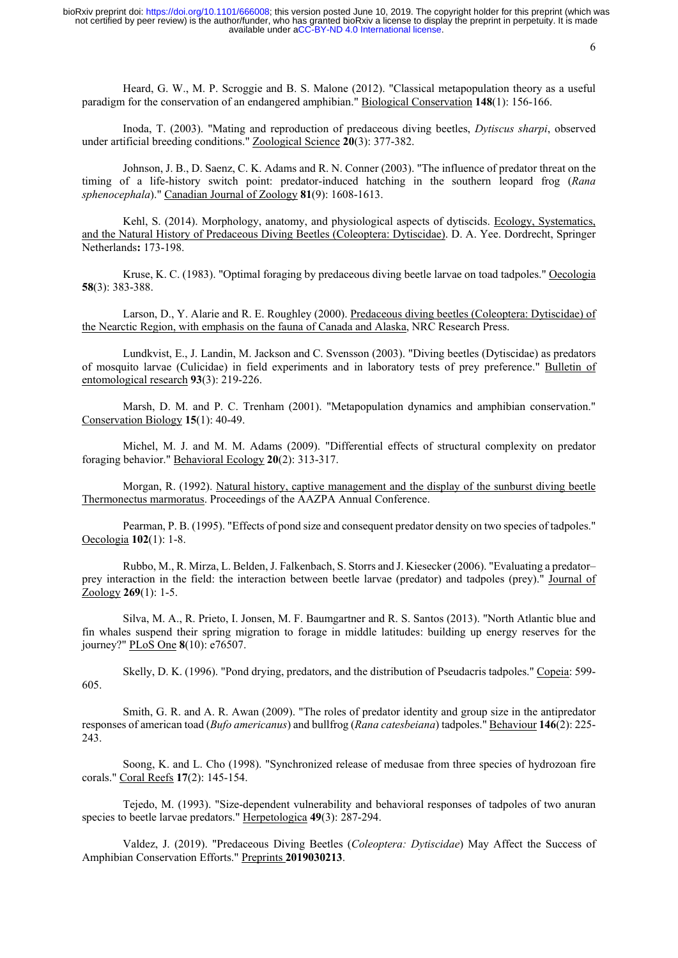6

Heard, G. W., M. P. Scroggie and B. S. Malone (2012). "Classical metapopulation theory as a useful paradigm for the conservation of an endangered amphibian." Biological Conservation **148**(1): 156-166.

Inoda, T. (2003). "Mating and reproduction of predaceous diving beetles, *Dytiscus sharpi*, observed under artificial breeding conditions." Zoological Science **20**(3): 377-382.

Johnson, J. B., D. Saenz, C. K. Adams and R. N. Conner (2003). "The influence of predator threat on the timing of a life-history switch point: predator-induced hatching in the southern leopard frog (*Rana sphenocephala*)." Canadian Journal of Zoology **81**(9): 1608-1613.

Kehl, S. (2014). Morphology, anatomy, and physiological aspects of dytiscids. Ecology, Systematics, and the Natural History of Predaceous Diving Beetles (Coleoptera: Dytiscidae). D. A. Yee. Dordrecht, Springer Netherlands**:** 173-198.

Kruse, K. C. (1983). "Optimal foraging by predaceous diving beetle larvae on toad tadpoles." Oecologia **58**(3): 383-388.

Larson, D., Y. Alarie and R. E. Roughley (2000). Predaceous diving beetles (Coleoptera: Dytiscidae) of the Nearctic Region, with emphasis on the fauna of Canada and Alaska, NRC Research Press.

Lundkvist, E., J. Landin, M. Jackson and C. Svensson (2003). "Diving beetles (Dytiscidae) as predators of mosquito larvae (Culicidae) in field experiments and in laboratory tests of prey preference." Bulletin of entomological research **93**(3): 219-226.

Marsh, D. M. and P. C. Trenham (2001). "Metapopulation dynamics and amphibian conservation." Conservation Biology **15**(1): 40-49.

Michel, M. J. and M. M. Adams (2009). "Differential effects of structural complexity on predator foraging behavior." Behavioral Ecology **20**(2): 313-317.

Morgan, R. (1992). Natural history, captive management and the display of the sunburst diving beetle Thermonectus marmoratus. Proceedings of the AAZPA Annual Conference.

Pearman, P. B. (1995). "Effects of pond size and consequent predator density on two species of tadpoles." Oecologia **102**(1): 1-8.

Rubbo, M., R. Mirza, L. Belden, J. Falkenbach, S. Storrs and J. Kiesecker (2006). "Evaluating a predator– prey interaction in the field: the interaction between beetle larvae (predator) and tadpoles (prey)." Journal of Zoology **269**(1): 1-5.

Silva, M. A., R. Prieto, I. Jonsen, M. F. Baumgartner and R. S. Santos (2013). "North Atlantic blue and fin whales suspend their spring migration to forage in middle latitudes: building up energy reserves for the journey?" PLoS One **8**(10): e76507.

Skelly, D. K. (1996). "Pond drying, predators, and the distribution of Pseudacris tadpoles." Copeia: 599- 605.

Smith, G. R. and A. R. Awan (2009). "The roles of predator identity and group size in the antipredator responses of american toad (*Bufo americanus*) and bullfrog (*Rana catesbeiana*) tadpoles." Behaviour **146**(2): 225- 243.

Soong, K. and L. Cho (1998). "Synchronized release of medusae from three species of hydrozoan fire corals." Coral Reefs **17**(2): 145-154.

Tejedo, M. (1993). "Size-dependent vulnerability and behavioral responses of tadpoles of two anuran species to beetle larvae predators." Herpetologica **49**(3): 287-294.

Valdez, J. (2019). "Predaceous Diving Beetles (*Coleoptera: Dytiscidae*) May Affect the Success of Amphibian Conservation Efforts." Preprints **2019030213**.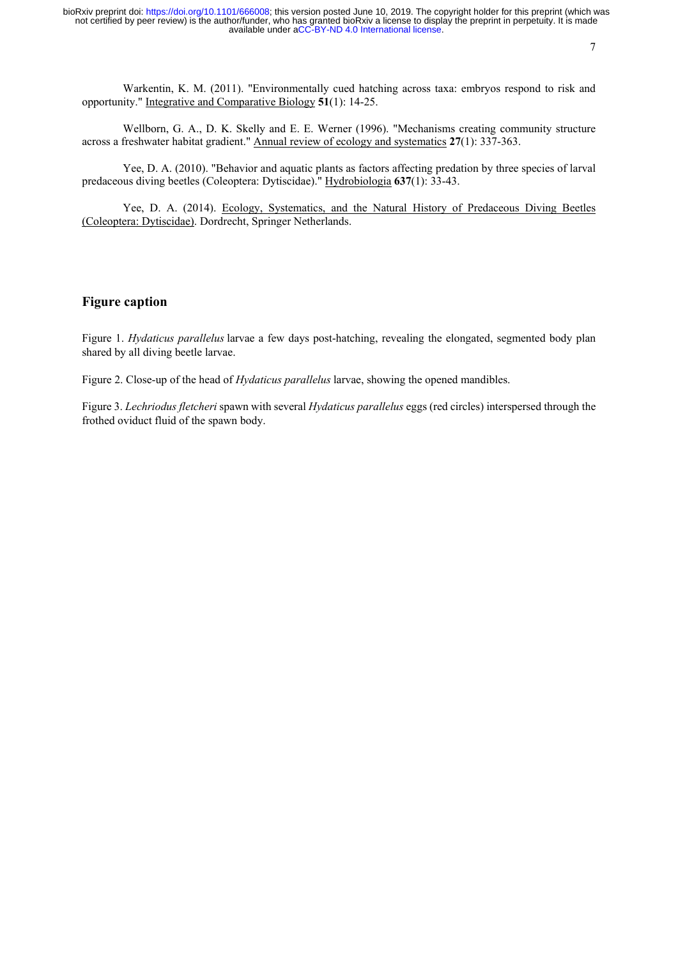7

Warkentin, K. M. (2011). "Environmentally cued hatching across taxa: embryos respond to risk and opportunity." Integrative and Comparative Biology **51**(1): 14-25.

Wellborn, G. A., D. K. Skelly and E. E. Werner (1996). "Mechanisms creating community structure across a freshwater habitat gradient." Annual review of ecology and systematics **27**(1): 337-363.

Yee, D. A. (2010). "Behavior and aquatic plants as factors affecting predation by three species of larval predaceous diving beetles (Coleoptera: Dytiscidae)." Hydrobiologia **637**(1): 33-43.

Yee, D. A. (2014). Ecology, Systematics, and the Natural History of Predaceous Diving Beetles (Coleoptera: Dytiscidae). Dordrecht, Springer Netherlands.

## **Figure caption**

Figure 1. *Hydaticus parallelus* larvae a few days post-hatching, revealing the elongated, segmented body plan shared by all diving beetle larvae.

Figure 2. Close-up of the head of *Hydaticus parallelus* larvae, showing the opened mandibles.

Figure 3. *Lechriodus fletcheri* spawn with several *Hydaticus parallelus* eggs (red circles) interspersed through the frothed oviduct fluid of the spawn body.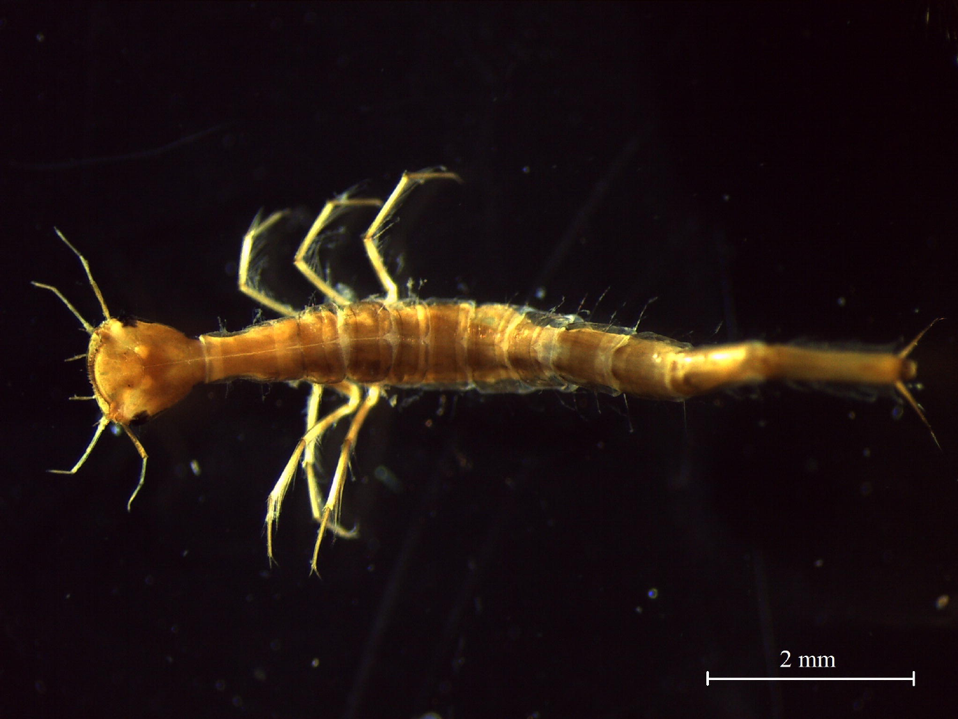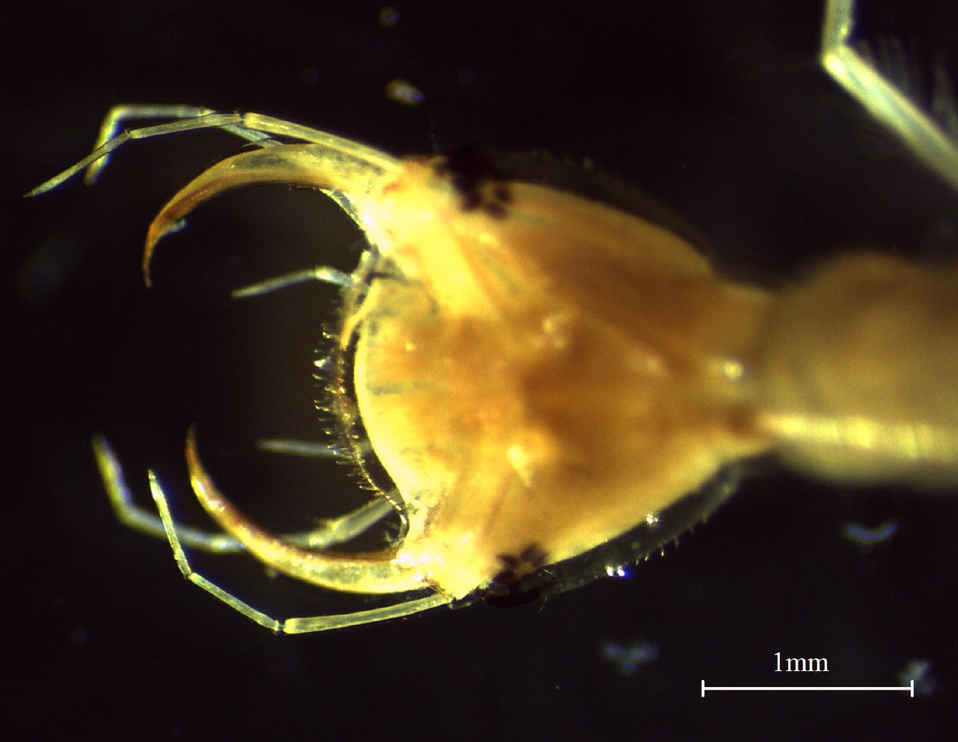